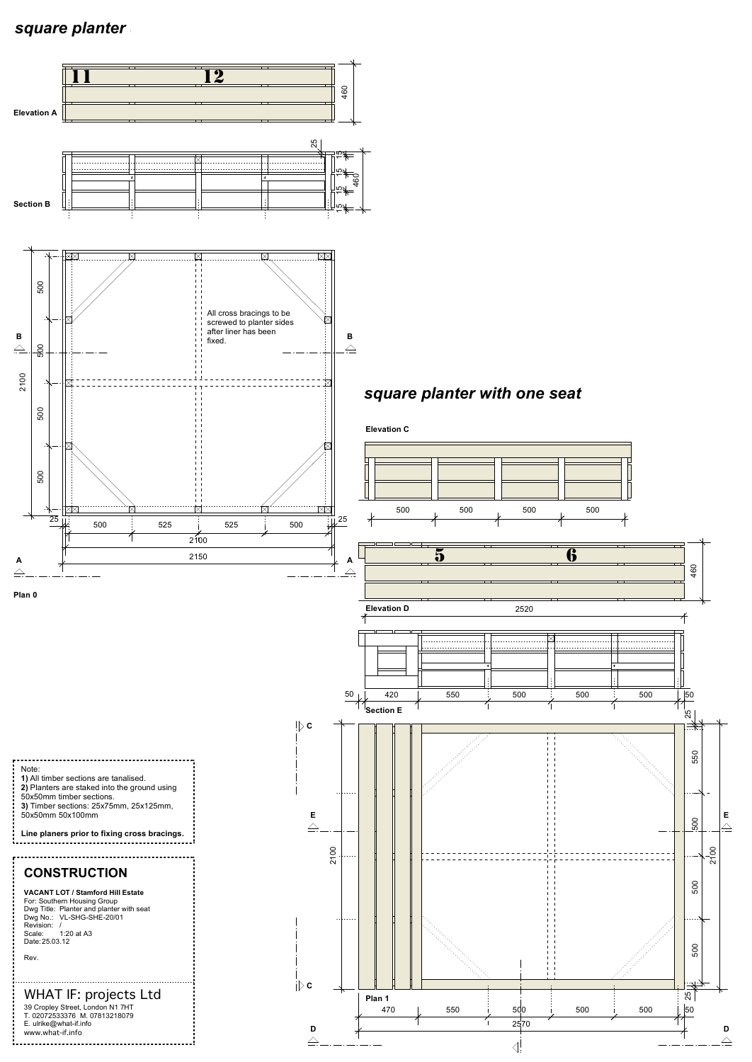## *square planter (x3)*

**2)** Planters are staked into the ground using 50x50mm timber sections.



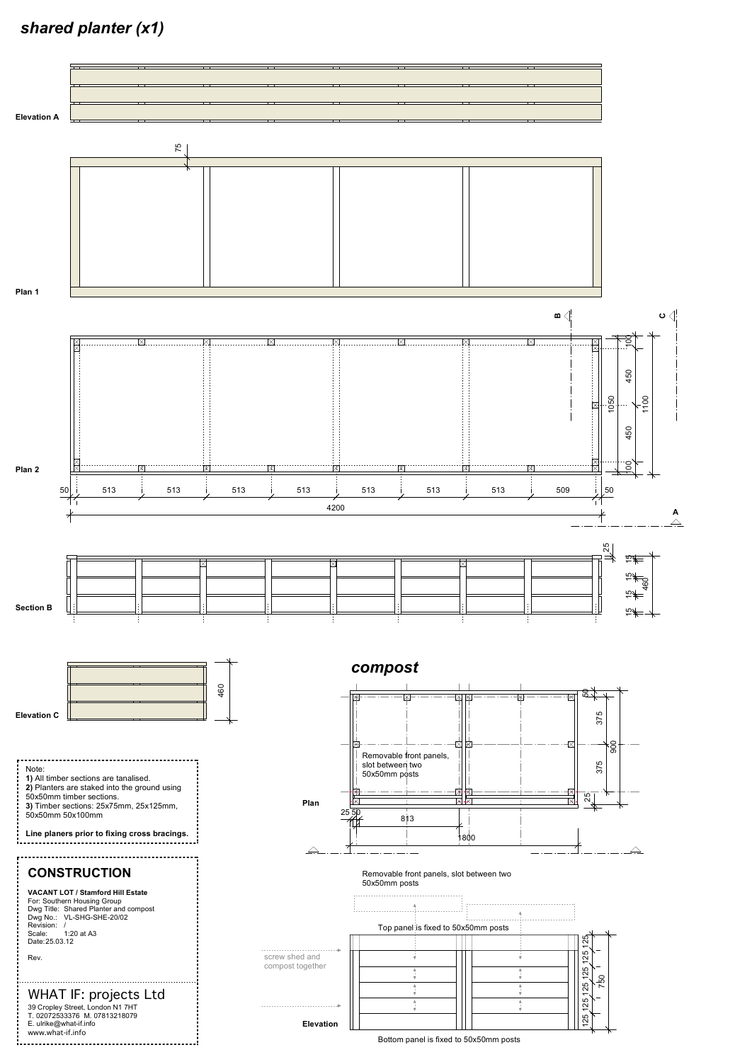## *shared planter (x1)*